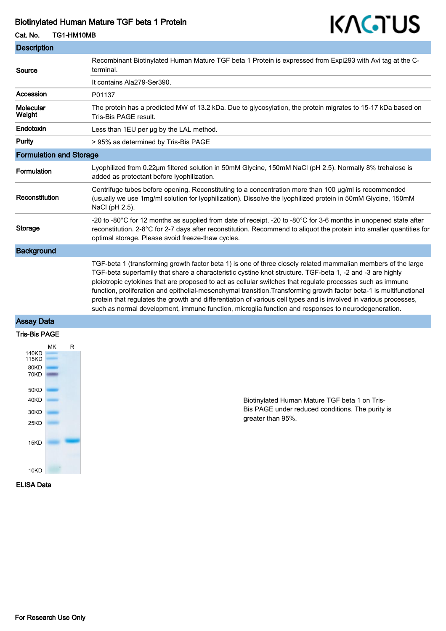### Biotinylated Human Mature TGF beta 1 Protein

# KAGTUS

# **Description** Cat. No. TG1-HM10MB

| Source                         | Recombinant Biotinylated Human Mature TGF beta 1 Protein is expressed from Expi293 with Avi tag at the C-<br>terminal.                                                                                                                                                                                                                                                                                                                                                                                                                                                               |
|--------------------------------|--------------------------------------------------------------------------------------------------------------------------------------------------------------------------------------------------------------------------------------------------------------------------------------------------------------------------------------------------------------------------------------------------------------------------------------------------------------------------------------------------------------------------------------------------------------------------------------|
|                                | It contains Ala279-Ser390.                                                                                                                                                                                                                                                                                                                                                                                                                                                                                                                                                           |
| Accession                      | P01137                                                                                                                                                                                                                                                                                                                                                                                                                                                                                                                                                                               |
| Molecular<br>Weight            | The protein has a predicted MW of 13.2 kDa. Due to glycosylation, the protein migrates to 15-17 kDa based on<br>Tris-Bis PAGE result.                                                                                                                                                                                                                                                                                                                                                                                                                                                |
| Endotoxin                      | Less than 1EU per µg by the LAL method.                                                                                                                                                                                                                                                                                                                                                                                                                                                                                                                                              |
| <b>Purity</b>                  | > 95% as determined by Tris-Bis PAGE                                                                                                                                                                                                                                                                                                                                                                                                                                                                                                                                                 |
| <b>Formulation and Storage</b> |                                                                                                                                                                                                                                                                                                                                                                                                                                                                                                                                                                                      |
| Formulation                    | Lyophilized from 0.22µm filtered solution in 50mM Glycine, 150mM NaCl (pH 2.5). Normally 8% trehalose is<br>added as protectant before lyophilization.                                                                                                                                                                                                                                                                                                                                                                                                                               |
| Reconstitution                 | Centrifuge tubes before opening. Reconstituting to a concentration more than 100 µg/ml is recommended<br>(usually we use 1mg/ml solution for lyophilization). Dissolve the lyophilized protein in 50mM Glycine, 150mM<br>NaCl (pH 2.5).                                                                                                                                                                                                                                                                                                                                              |
| <b>Storage</b>                 | -20 to -80°C for 12 months as supplied from date of receipt. -20 to -80°C for 3-6 months in unopened state after<br>reconstitution. 2-8°C for 2-7 days after reconstitution. Recommend to aliquot the protein into smaller quantities for<br>optimal storage. Please avoid freeze-thaw cycles.                                                                                                                                                                                                                                                                                       |
| <b>Background</b>              |                                                                                                                                                                                                                                                                                                                                                                                                                                                                                                                                                                                      |
|                                | TGF-beta 1 (transforming growth factor beta 1) is one of three closely related mammalian members of the large<br>TGF-beta superfamily that share a characteristic cystine knot structure. TGF-beta 1, -2 and -3 are highly<br>pleiotropic cytokines that are proposed to act as cellular switches that regulate processes such as immune<br>function, proliferation and epithelial-mesenchymal transition. Transforming growth factor beta-1 is multifunctional<br>protein that regulates the growth and differentiation of various cell types and is involved in various processes, |

such as normal development, immune function, microglia function and responses to neurodegeneration.

# Assay Data



Biotinylated Human Mature TGF beta 1 on Tris-Bis PAGE under reduced conditions. The purity is greater than 95%.